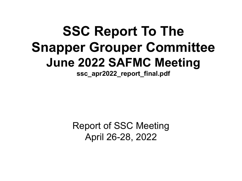# **SSC Report To The Snapper Grouper Committee June 2022 SAFMC Meeting**

**ssc\_apr2022\_report\_final.pdf**

Report of SSC Meeting April 26-28, 2022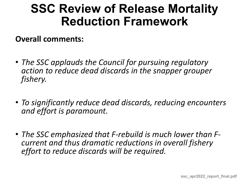**Overall comments:** 

- *The SSC applauds the Council for pursuing regulatory action to reduce dead discards in the snapper grouper fishery.*
- *To significantly reduce dead discards, reducing encounters and effort is paramount.*
- *The SSC emphasized that F-rebuild is much lower than F- current and thus dramatic reductions in overall fishery effort to reduce discards will be required.*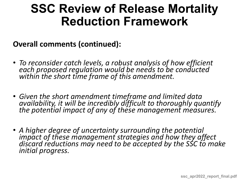**Overall comments (continued):** 

- *To reconsider catch levels, a robust analysis of how efficient each proposed regulation would be needs to be conducted within the short time frame of this amendment.*
- *Given the short amendment timeframe and limited data availability, it will be incredibly difficult to thoroughly quantify the potential impact of any of these management measures.*
- *A higher degree of uncertainty surrounding the potential impact of these management strategies and how they affect discard reductions may need to be accepted by the SSC to make initial progress.*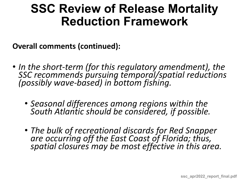**Overall comments (continued):** 

- *In the short-term (for this regulatory amendment), the* SSC recommends pursuing temporal/spatial reductions *(possibly wave-based) in bottom fishing.*
	- *Seasonal differences among regions within the South Atlantic should be considered, if possible.*
	- *The bulk of recreational discards for Red Snapper are occurring off the East Coast of Florida; thus, spatial closures may be most effective in this area.*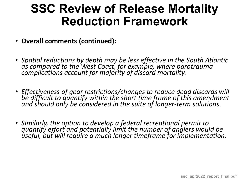- **Overall comments (continued):**
- *Spatial reductions by depth may be less effective in the South Atlantic as compared to the West Coast, for example, where barotrauma complications account for majority of discard mortality.*
- *Effectiveness of gear restrictions/changes to reduce dead discards will be difficult to quantify within the short time frame of this amendment and should only be considered in the suite of longer-term solutions.*
- *Similarly, the option to develop a federal recreational permit to quantify effort and potentially limit the number of anglers would be useful, but will require a much longer timeframe for implementation.*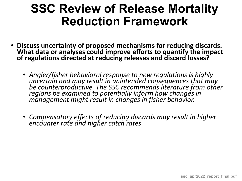- **Discuss uncertainty of proposed mechanisms for reducing discards. What data or analyses could improve efforts to quantify the impact of regulations directed at reducing releases and discard losses?** 
	- *Angler/fisher behavioral response to new regulations is highly uncertain and may result in unintended consequences that may be counterproductive. The SSC recommends literature from other regions be examined to potentially inform how changes in management might result in changes in fisher behavior.*
	- *Compensatory effects of reducing discards may result in higher encounter rate and higher catch rates*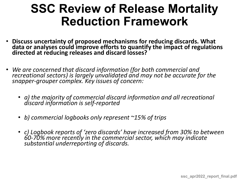- **Discuss uncertainty of proposed mechanisms for reducing discards. What data or analyses could improve efforts to quantify the impact of regulations directed at reducing releases and discard losses?**
- *We are concerned that discard information (for both commercial and recreational sectors) is largely unvalidated and may not be accurate for the snapper-grouper complex. Key issues of concern:* 
	- *a) the majority of commercial discard information and all recreational discard information is self-reported*
	- *b) commercial logbooks only represent ~15% of trips*
	- *c) Logbook reports of 'zero discards' have increased from 30% to between 60-70% more recently in the commercial sector, which may indicate substantial underreporting of discards.*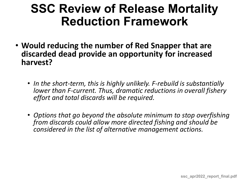- **Would reducing the number of Red Snapper that are discarded dead provide an opportunity for increased harvest?** 
	- *In the short-term, this is highly unlikely. F-rebuild is substantially lower than F-current. Thus, dramatic reductions in overall fishery effort and total discards will be required.*
	- *Options that go beyond the absolute minimum to stop overfishing from discards could allow more directed fishing and should be considered in the list of alternative management actions.*